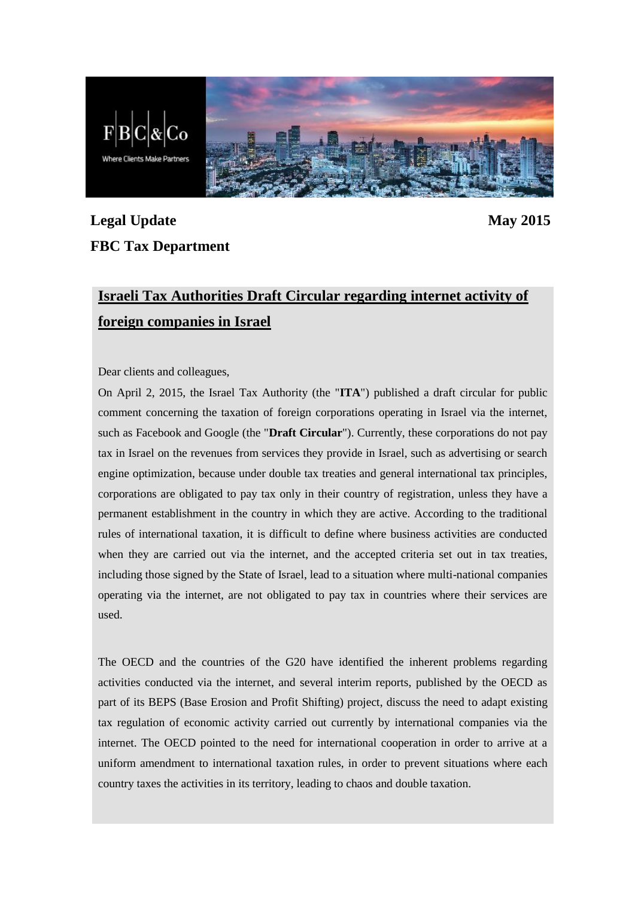

## **Legal Update May 2015 FBC Tax Department**

## **Israeli Tax Authorities Draft Circular regarding internet activity of foreign companies in Israel**

Dear clients and colleagues,

On April 2, 2015, the Israel Tax Authority (the "**ITA**") published a draft circular for public comment concerning the taxation of foreign corporations operating in Israel via the internet, such as Facebook and Google (the "**Draft Circular**"). Currently, these corporations do not pay tax in Israel on the revenues from services they provide in Israel, such as advertising or search engine optimization, because under double tax treaties and general international tax principles, corporations are obligated to pay tax only in their country of registration, unless they have a permanent establishment in the country in which they are active. According to the traditional rules of international taxation, it is difficult to define where business activities are conducted when they are carried out via the internet, and the accepted criteria set out in tax treaties, including those signed by the State of Israel, lead to a situation where multi-national companies operating via the internet, are not obligated to pay tax in countries where their services are used.

The OECD and the countries of the G20 have identified the inherent problems regarding activities conducted via the internet, and several interim reports, published by the OECD as part of its BEPS (Base Erosion and Profit Shifting) project, discuss the need to adapt existing tax regulation of economic activity carried out currently by international companies via the internet. The OECD pointed to the need for international cooperation in order to arrive at a uniform amendment to international taxation rules, in order to prevent situations where each country taxes the activities in its territory, leading to chaos and double taxation.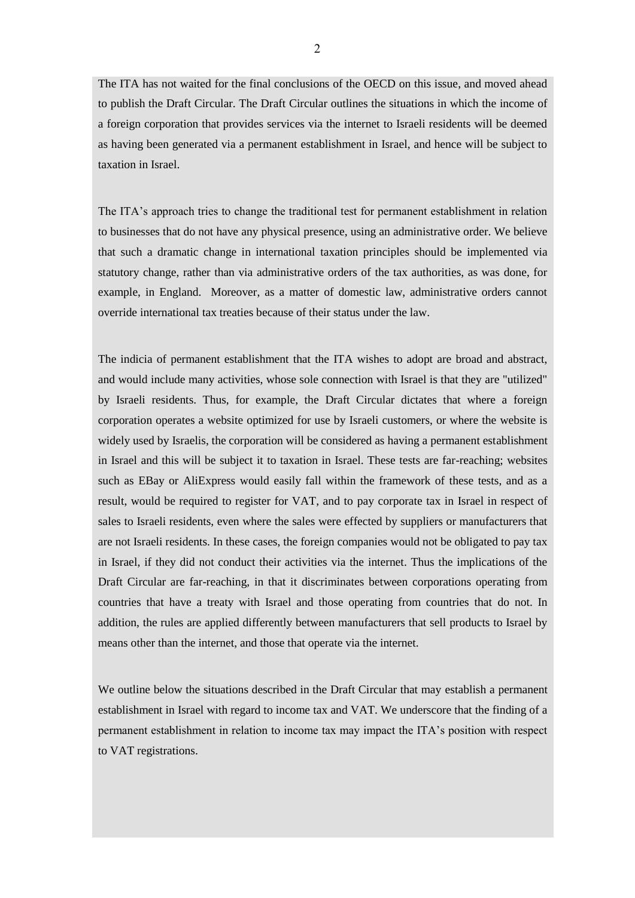The ITA has not waited for the final conclusions of the OECD on this issue, and moved ahead to publish the Draft Circular. The Draft Circular outlines the situations in which the income of a foreign corporation that provides services via the internet to Israeli residents will be deemed as having been generated via a permanent establishment in Israel, and hence will be subject to taxation in Israel.

The ITA's approach tries to change the traditional test for permanent establishment in relation to businesses that do not have any physical presence, using an administrative order. We believe that such a dramatic change in international taxation principles should be implemented via statutory change, rather than via administrative orders of the tax authorities, as was done, for example, in England. Moreover, as a matter of domestic law, administrative orders cannot override international tax treaties because of their status under the law.

The indicia of permanent establishment that the ITA wishes to adopt are broad and abstract, and would include many activities, whose sole connection with Israel is that they are "utilized" by Israeli residents. Thus, for example, the Draft Circular dictates that where a foreign corporation operates a website optimized for use by Israeli customers, or where the website is widely used by Israelis, the corporation will be considered as having a permanent establishment in Israel and this will be subject it to taxation in Israel. These tests are far-reaching; websites such as EBay or AliExpress would easily fall within the framework of these tests, and as a result, would be required to register for VAT, and to pay corporate tax in Israel in respect of sales to Israeli residents, even where the sales were effected by suppliers or manufacturers that are not Israeli residents. In these cases, the foreign companies would not be obligated to pay tax in Israel, if they did not conduct their activities via the internet. Thus the implications of the Draft Circular are far-reaching, in that it discriminates between corporations operating from countries that have a treaty with Israel and those operating from countries that do not. In addition, the rules are applied differently between manufacturers that sell products to Israel by means other than the internet, and those that operate via the internet.

We outline below the situations described in the Draft Circular that may establish a permanent establishment in Israel with regard to income tax and VAT. We underscore that the finding of a permanent establishment in relation to income tax may impact the ITA's position with respect to VAT registrations.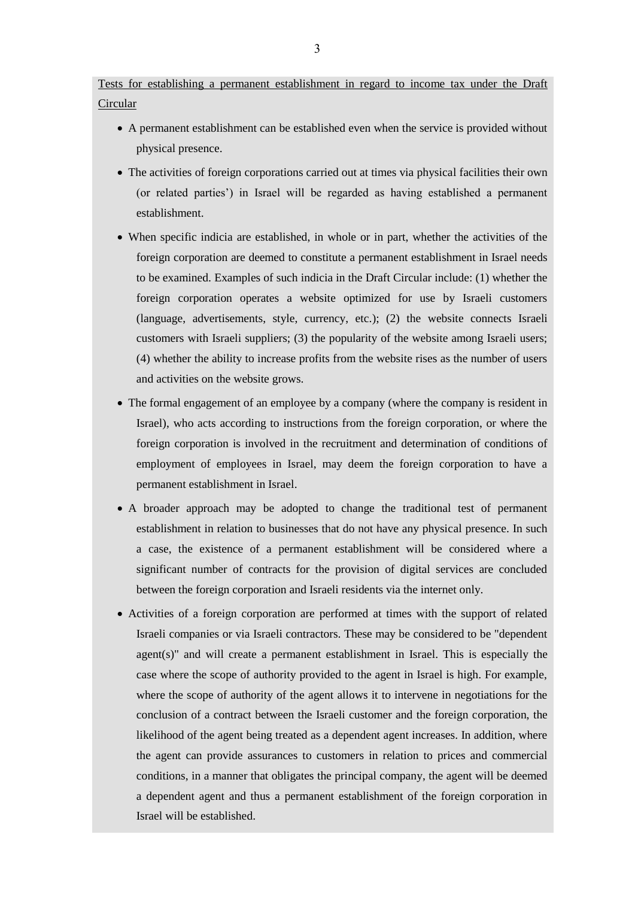Tests for establishing a permanent establishment in regard to income tax under the Draft Circular

- A permanent establishment can be established even when the service is provided without physical presence.
- The activities of foreign corporations carried out at times via physical facilities their own (or related parties') in Israel will be regarded as having established a permanent establishment.
- When specific indicia are established, in whole or in part, whether the activities of the foreign corporation are deemed to constitute a permanent establishment in Israel needs to be examined. Examples of such indicia in the Draft Circular include: (1) whether the foreign corporation operates a website optimized for use by Israeli customers (language, advertisements, style, currency, etc.); (2) the website connects Israeli customers with Israeli suppliers; (3) the popularity of the website among Israeli users; (4) whether the ability to increase profits from the website rises as the number of users and activities on the website grows.
- The formal engagement of an employee by a company (where the company is resident in Israel), who acts according to instructions from the foreign corporation, or where the foreign corporation is involved in the recruitment and determination of conditions of employment of employees in Israel, may deem the foreign corporation to have a permanent establishment in Israel.
- A broader approach may be adopted to change the traditional test of permanent establishment in relation to businesses that do not have any physical presence. In such a case, the existence of a permanent establishment will be considered where a significant number of contracts for the provision of digital services are concluded between the foreign corporation and Israeli residents via the internet only.
- Activities of a foreign corporation are performed at times with the support of related Israeli companies or via Israeli contractors. These may be considered to be "dependent agent(s)" and will create a permanent establishment in Israel. This is especially the case where the scope of authority provided to the agent in Israel is high. For example, where the scope of authority of the agent allows it to intervene in negotiations for the conclusion of a contract between the Israeli customer and the foreign corporation, the likelihood of the agent being treated as a dependent agent increases. In addition, where the agent can provide assurances to customers in relation to prices and commercial conditions, in a manner that obligates the principal company, the agent will be deemed a dependent agent and thus a permanent establishment of the foreign corporation in Israel will be established.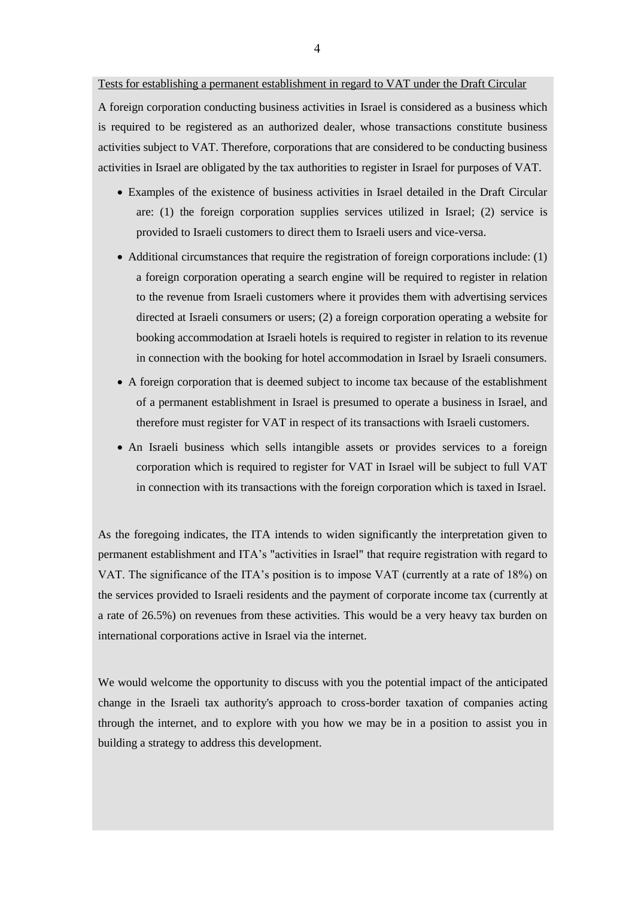## Tests for establishing a permanent establishment in regard to VAT under the Draft Circular

A foreign corporation conducting business activities in Israel is considered as a business which is required to be registered as an authorized dealer, whose transactions constitute business activities subject to VAT. Therefore, corporations that are considered to be conducting business activities in Israel are obligated by the tax authorities to register in Israel for purposes of VAT.

- Examples of the existence of business activities in Israel detailed in the Draft Circular are: (1) the foreign corporation supplies services utilized in Israel; (2) service is provided to Israeli customers to direct them to Israeli users and vice-versa.
- $\bullet$  Additional circumstances that require the registration of foreign corporations include: (1) a foreign corporation operating a search engine will be required to register in relation to the revenue from Israeli customers where it provides them with advertising services directed at Israeli consumers or users; (2) a foreign corporation operating a website for booking accommodation at Israeli hotels is required to register in relation to its revenue in connection with the booking for hotel accommodation in Israel by Israeli consumers.
- A foreign corporation that is deemed subject to income tax because of the establishment of a permanent establishment in Israel is presumed to operate a business in Israel, and therefore must register for VAT in respect of its transactions with Israeli customers.
- An Israeli business which sells intangible assets or provides services to a foreign corporation which is required to register for VAT in Israel will be subject to full VAT in connection with its transactions with the foreign corporation which is taxed in Israel.

As the foregoing indicates, the ITA intends to widen significantly the interpretation given to permanent establishment and ITA's "activities in Israel" that require registration with regard to VAT. The significance of the ITA's position is to impose VAT (currently at a rate of 18%) on the services provided to Israeli residents and the payment of corporate income tax (currently at a rate of 26.5%) on revenues from these activities. This would be a very heavy tax burden on international corporations active in Israel via the internet.

We would welcome the opportunity to discuss with you the potential impact of the anticipated change in the Israeli tax authority's approach to cross-border taxation of companies acting through the internet, and to explore with you how we may be in a position to assist you in building a strategy to address this development.